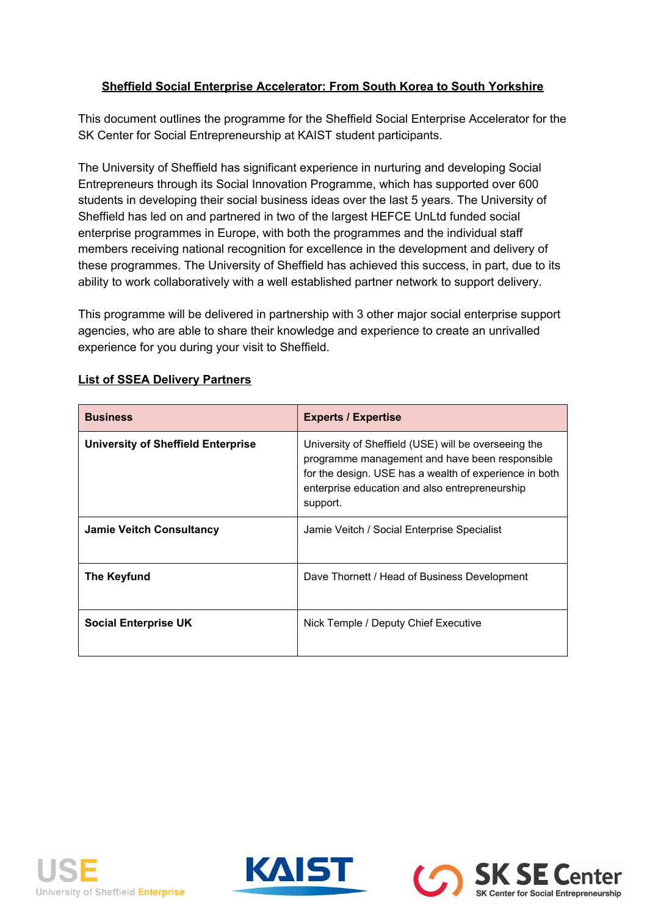# **Sheffield Social Enterprise Accelerator: From South Korea to South Yorkshire**

This document outlines the programme for the Sheffield Social Enterprise Accelerator for the SK Center for Social Entrepreneurship at KAIST student participants.

The University of Sheffield has significant experience in nurturing and developing Social Entrepreneurs through its Social Innovation Programme, which has supported over 600 students in developing their social business ideas over the last 5 years. The University of Sheffield has led on and partnered in two of the largest HEFCE UnLtd funded social enterprise programmes in Europe, with both the programmes and the individual staff members receiving national recognition for excellence in the development and delivery of these programmes. The University of Sheffield has achieved this success, in part, due to its ability to work collaboratively with a well established partner network to support delivery.

This programme will be delivered in partnership with 3 other major social enterprise support agencies, who are able to share their knowledge and experience to create an unrivalled experience for you during your visit to Sheffield.

| <b>Business</b>                    | <b>Experts / Expertise</b>                                                                                                                                                                                                     |  |
|------------------------------------|--------------------------------------------------------------------------------------------------------------------------------------------------------------------------------------------------------------------------------|--|
| University of Sheffield Enterprise | University of Sheffield (USE) will be overseeing the<br>programme management and have been responsible<br>for the design. USE has a wealth of experience in both<br>enterprise education and also entrepreneurship<br>support. |  |
| <b>Jamie Veitch Consultancy</b>    | Jamie Veitch / Social Enterprise Specialist                                                                                                                                                                                    |  |
| <b>The Keyfund</b>                 | Dave Thornett / Head of Business Development                                                                                                                                                                                   |  |
| <b>Social Enterprise UK</b>        | Nick Temple / Deputy Chief Executive                                                                                                                                                                                           |  |

# **List of SSEA Delivery Partners**





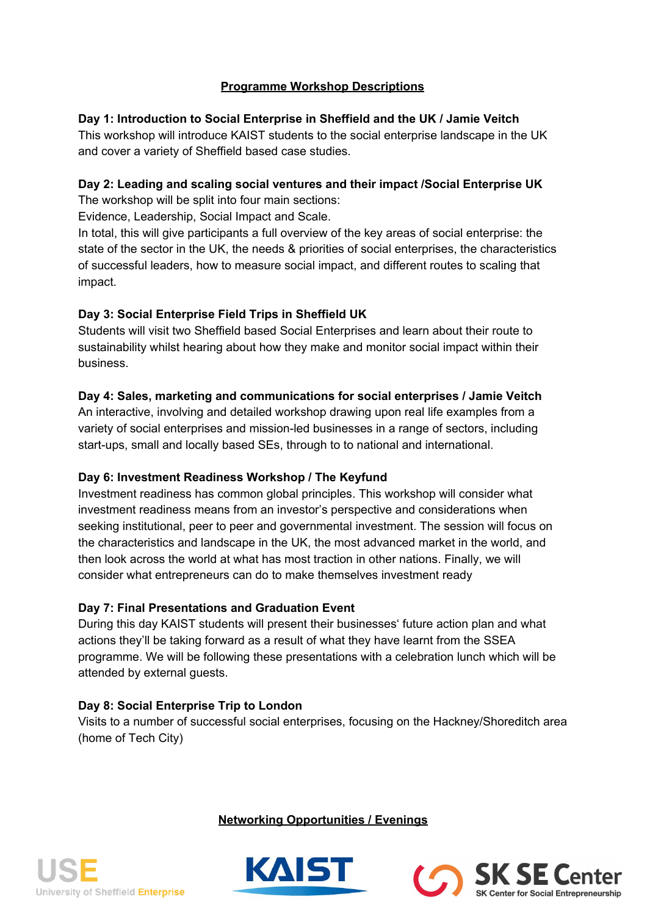# **Programme Workshop Descriptions**

## **Day 1: Introduction to Social Enterprise in Sheffield and the UK / Jamie Veitch**

This workshop will introduce KAIST students to the social enterprise landscape in the UK and cover a variety of Sheffield based case studies.

# **Day 2: Leading and scaling social ventures and their impact /Social Enterprise UK**

The workshop will be split into four main sections:

Evidence, Leadership, Social Impact and Scale.

In total, this will give participants a full overview of the key areas of social enterprise: the state of the sector in the UK, the needs & priorities of social enterprises, the characteristics of successful leaders, how to measure social impact, and different routes to scaling that impact.

# **Day 3: Social Enterprise Field Trips in Sheffield UK**

Students will visit two Sheffield based Social Enterprises and learn about their route to sustainability whilst hearing about how they make and monitor social impact within their business.

# **Day 4: Sales, marketing and communications for social enterprises / Jamie Veitch**

An interactive, involving and detailed workshop drawing upon real life examples from a variety of social enterprises and mission-led businesses in a range of sectors, including start-ups, small and locally based SEs, through to to national and international.

# **Day 6: Investment Readiness Workshop / The Keyfund**

Investment readiness has common global principles. This workshop will consider what investment readiness means from an investor's perspective and considerations when seeking institutional, peer to peer and governmental investment. The session will focus on the characteristics and landscape in the UK, the most advanced market in the world, and then look across the world at what has most traction in other nations. Finally, we will consider what entrepreneurs can do to make themselves investment ready

## **Day 7: Final Presentations and Graduation Event**

During this day KAIST students will present their businesses' future action plan and what actions they'll be taking forward as a result of what they have learnt from the SSEA programme. We will be following these presentations with a celebration lunch which will be attended by external guests.

# **Day 8: Social Enterprise Trip to London**

Visits to a number of successful social enterprises, focusing on the Hackney/Shoreditch area (home of Tech City)

**Networking Opportunities / Evenings**

SK SE Center



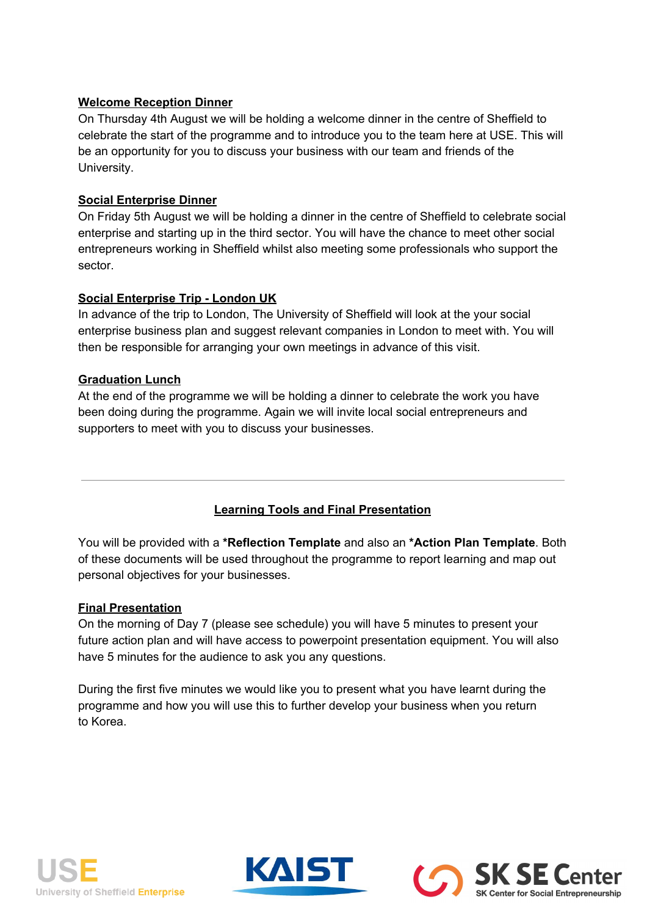## **Welcome Reception Dinner**

On Thursday 4th August we will be holding a welcome dinner in the centre of Sheffield to celebrate the start of the programme and to introduce you to the team here at USE. This will be an opportunity for you to discuss your business with our team and friends of the University.

### **Social Enterprise Dinner**

On Friday 5th August we will be holding a dinner in the centre of Sheffield to celebrate social enterprise and starting up in the third sector. You will have the chance to meet other social entrepreneurs working in Sheffield whilst also meeting some professionals who support the sector.

### **Social Enterprise Trip London UK**

In advance of the trip to London, The University of Sheffield will look at the your social enterprise business plan and suggest relevant companies in London to meet with. You will then be responsible for arranging your own meetings in advance of this visit.

### **Graduation Lunch**

At the end of the programme we will be holding a dinner to celebrate the work you have been doing during the programme. Again we will invite local social entrepreneurs and supporters to meet with you to discuss your businesses.

## **Learning Tools and Final Presentation**

You will be provided with a **\*Reflection Template**and also an **\*Action Plan Template**.Both of these documents will be used throughout the programme to report learning and map out personal objectives for your businesses.

#### **Final Presentation**

On the morning of Day 7 (please see schedule) you will have 5 minutes to present your future action plan and will have access to powerpoint presentation equipment. You will also have 5 minutes for the audience to ask you any questions.

During the first five minutes we would like you to present what you have learnt during the programme and how you will use this to further develop your business when you return to Korea.